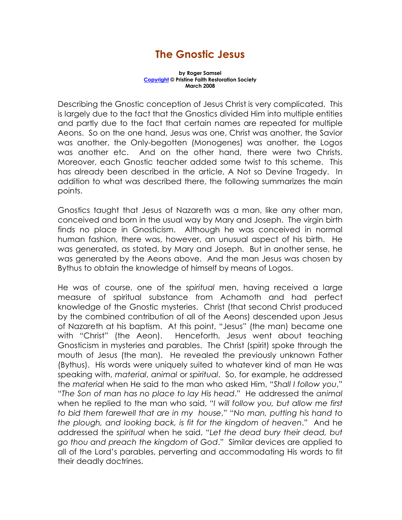## The Gnostic Jesus

by Roger Samsel Copyright © Pristine Faith Restoration Society March 2008

Describing the Gnostic conception of Jesus Christ is very complicated. This is largely due to the fact that the Gnostics divided Him into multiple entities and partly due to the fact that certain names are repeated for multiple Aeons. So on the one hand, Jesus was one, Christ was another, the Savior was another, the Only-begotten (Monogenes) was another, the Logos was another etc. And on the other hand, there were two Christs. Moreover, each Gnostic teacher added some twist to this scheme. This has already been described in the article, A Not so Devine Tragedy. In addition to what was described there, the following summarizes the main points.

Gnostics taught that Jesus of Nazareth was a man, like any other man, conceived and born in the usual way by Mary and Joseph. The virgin birth finds no place in Gnosticism. Although he was conceived in normal human fashion, there was, however, an unusual aspect of his birth. He was generated, as stated, by Mary and Joseph. But in another sense, he was generated by the Aeons above. And the man Jesus was chosen by Bythus to obtain the knowledge of himself by means of Logos.

He was of course, one of the spiritual men, having received a large measure of spiritual substance from Achamoth and had perfect knowledge of the Gnostic mysteries. Christ (that second Christ produced by the combined contribution of all of the Aeons) descended upon Jesus of Nazareth at his baptism. At this point, "Jesus" (the man) became one with "Christ" (the Aeon). Henceforth, Jesus went about teaching Gnosticism in mysteries and parables. The Christ (spirit) spoke through the mouth of Jesus (the man). He revealed the previously unknown Father (Bythus). His words were uniquely suited to whatever kind of man He was speaking with, material, animal or spiritual. So, for example, he addressed the material when He said to the man who asked Him, "Shall I follow you," "The Son of man has no place to lay His head." He addressed the animal when he replied to the man who said, "I will follow you, but allow me first to bid them farewell that are in my house," "No man, putting his hand to the plough, and looking back, is fit for the kingdom of heaven." And he addressed the spiritual when he said, "Let the dead bury their dead, but go thou and preach the kingdom of God." Similar devices are applied to all of the Lord's parables, perverting and accommodating His words to fit their deadly doctrines.